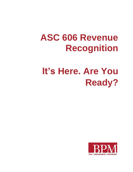# **ASC 606 Revenue Recognition**

# **It's Here. Are You Ready?**

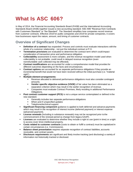# **What Is ASC 606?**

In May of 2014, the Financial Accounting Standards Board (FASB) and the International Accounting Standards Board (IASB) together issued a new accounting standard: ASC 606 "Revenue from Contracts with Customers Standard" or "the Standard". The Standard simplifies how companies record revenue from customer contracts. Effective 2018 for public companies and 2019 for private companies, it covers how businesses report the nature, amount, and timing of customer contracts.

### **Overview of Significant Changes**

- **Definition of a contract** has expanded. Process and controls must evaluate interactions with the whole of a customer relationship - not just the individual contract or P.O.
- **Termination provisions** are evaluated to determine the contract term which could impact consideration of transaction price and performance obligation.
- **Collectability** assessment is more complex, and the revenue recognition model used when collectability is not probable, could result in delayed revenue recognition (even nonrefundable cash collected may be effected).
- **Contract modifications** are accounted for under a comprehensive model that provides for different outcomes depending on the facts and circumstances.
- **Contract options** are accounted for as separate performance obligations if they provide an incremental benefit that would not have been received without the initial purchase (i.e. "material right").
- **Multiple-element arrangements:**
	- Revenue allocated to delivered performance obligations must also consider contingent amounts.
	- **Vendor specific objective evidence (VSOE)** of fair value has been eliminated as a separation criterion which may result in the earlier recognition of revenue.
	- Companies must evaluate Contract Promises, likely resulting in additional Performance Obligations.
- **Post contract customer support (PCS)** is not a unique service contemplated or defined in the new standard.
	- Generally includes two separate performance obligations
	- **When-and-if unspecified updates**
	- Telephone/technical support
- **Significant financing component** guidance is applied to both deferred and advance payments which may result in the recognition of interest income (deferred payment) or interest expense (advanced payment).
- **License renewals** (including in substance renewals) may not be recognized prior to the commencement of the renewal period (a change from legacy GAAP).
- **Licenses** are evaluated to determine whether they include a right to use (point in time) or a right to access (over time) intellectual property.
- **Costs related to customer contracts** (costs to obtain or fulfill a contract) must be capitalized in certain circumstances (i.e. Commissions).
- **Balance sheet presentation** requires separate recognition of contract liabilities, accounts receivable, and contract assets.
- **Disclosure requirements** are significant and likely involve tracking (and disclosing) a variety of information not historically tracked or disclosed.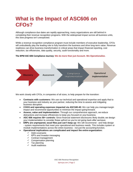### **What is the Impact of ASC606 on CFOs?**

Although compliance due dates are rapidly approaching, many organizations are still behind in completing their revenue recognition programs. With the widespread impact across all business units, this slow progress isn't unexpected.

While a revenue recognition compliance program must include members of executive leadership, CFOs will undoubtedly play the leading role to fully transform the business and drive long-term value. Revenue readiness can drive business transformation in critical areas that impact financial reporting, cost reduction, tax efficiencies, data quality, security, audit functionality and more.

#### **The BPM ASC 606 Compliance Journey: We do more than just Account. We Operationalize.**



We work closely with CFOs, in companies of all sizes, to help prepare for the transition:

- **Contracts with customers:** We use our technical and operational expertise and apply that to your business and industry as your partner, reducing the time to assess and mitigating business disruption.
- **COGS and operating expenses impacted via ASC340-40:** We can help you managemargin impact and recommend opportunities to minimize the impact going forward.
- **Assess, value and implementation:** Through our comprehensive approach, we reduce distractions and increase efficiencies to keep you focused on your business.
- **ASC 606 requires 50+ controls:** Since financial statement disclosures likely double, we design your implementation to consider these upfront so you're not going back after we leave.
- **ERPs are unprepared, excel files just can't keep up:** We will recommend and help design - system requirements that meet your operational and business needs. This includes system or module implementations across the entire business - not just the accounting function.
- **Operational implications are complicated and impact the entire organization:**
	- $\checkmark$  Debt covenants
	- $\checkmark$  KPI's and Investor messaging
	- $\checkmark$  Contract management
	- $\checkmark$  Compensation planning
	- Tax planning
	- $\checkmark$  Audit readiness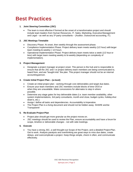### **Best Practices**

#### **1. Joint Steering Committee (JSC)**

 The team is most effective if formed at the onset of a transformation project and should include team leaders from Human Resources, IT, Sales, Marketing, Executive Management and Legal – as well as any  $3^{rd}$  party consultants – (Auditor, Outsourced accounting, IT).

#### **2. JSC Meetings Timetable**

- Discovery Phase: At onset, then weekly through the assessment phase.
- Compliance Implementation Phase: Project delivery team meets weekly (1/2 hour) with larger team meeting bi-weekly (~1/2 hour).
- Operational Implementation Phase: Project delivery team meets twice a week (1/2 hour or less) with larger team meeting weekly to bi-weekly (depending on complexity of implementation).

#### **3. Project Management**

 Designate a project manager at project onset. This person is the hub and is responsible to ensure that all the JSC and / or project delivery team members are being communicated to, heard from, and are "bought-into" the plan. This project manager should not be an internal accounting person.

#### **4. Create Initial Project Plan – (a must)**

- Create an initial project plan working through core deliverables and target due dates.
- Ensure your team members and JSC members include blocks of time OOO or when they are unavailable. Make concessions for alternates to step in where possible.
- Determine any stage gates for key deliverable dates (i.e. team member availability, other system implementations, 3rd party consultants, month-end close, budget cycles, holiday shut down's, etc.).
- Assign / define all tasks and dependencies. Accountability is Imperative.
- The Project Plan is a living document and should not be hidden away. SHARE and be Transparent!

#### **5. Re-Evaluate Project Plan**

- Project plan should get more granular as the project moves on.
- JSC meetings should be used to review the Plan, ensure accountability and have a forum for scope, timeline or deliverable changes - not with side meetings.

#### **6. Execute**

 You have a strong JSC, a well thought-out Scope of the Project, and a detailed ProjectPlan. Get to work. Analysis paralysis and overthinking are great ways to miss due dates, create delays, and overcomplicate a project. Keep things simple, check in often, and communicate effectively.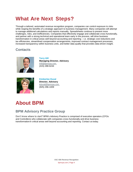# **What Are Next Steps?**

Through a tailored, automated revenue recognition program, companies can control exposure to risks while reaping the benefits of a strategic approach to business management. Many companies will attempt to manage additional calculations and reports manually. Spreadsheets continue to present more challenges, risks, and inefficiencies. Companies that effectively engage and collaborate cross-functionally, and partner with a strong technical and operational team early in the process, will drive business transformation in critical areas well beyond accounting and reporting – i.e. strategic cost reductions and tax efficiencies, streamlined compensation arrangements, improved contract management processes, increased transparency within business units, and better data quality that provides data-driven insight.

### **Contacts**



**Terry Hill Managing Director, Advisory** [thill@bpmcpa.com](mailto:THill@bpmcpa.com) (415) 288-6244



**Kimberlee Duval Director, Advisory**  [kduval@bpmcpa.com](mailto:KDuval@bpmcpa.com) (925) 296-1009

## **About BPM**

### **BPM Advisory Practice Group**

Don't know where to start? BPM's Advisory Practice is comprised of executive operators (CFOs and Controllers) who collaborate with companies cross-functionally and drive business transformationin critical areas well beyond accounting and reporting. Contact us today.